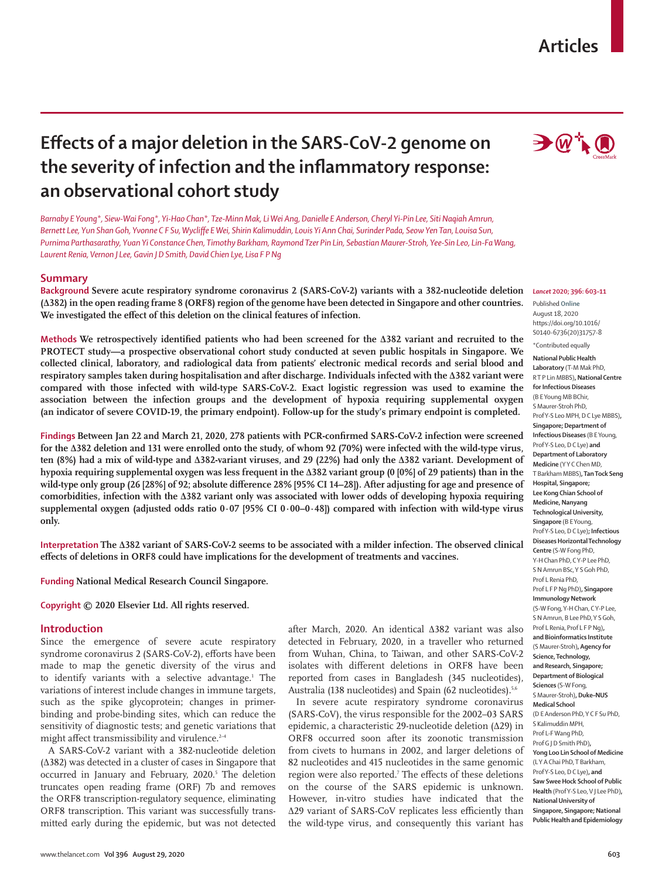# **Articles**

# **Effects of a major deletion in the SARS-CoV-2 genome on the severity of infection and the inflammatory response: an observational cohort study**

*Barnaby E Young\*, Siew-Wai Fong\*, Yi-Hao Chan\*, Tze-Minn Mak, Li Wei Ang, Danielle E Anderson, Cheryl Yi-Pin Lee, Siti Naqiah Amrun, Bernett Lee, Yun Shan Goh, Yvonne C F Su, Wycliffe E Wei, Shirin Kalimuddin, Louis Yi Ann Chai, Surinder Pada, Seow Yen Tan, Louisa Sun, Purnima Parthasarathy, Yuan Yi Constance Chen, Timothy Barkham, Raymond Tzer Pin Lin, Sebastian Maurer-Stroh, Yee-Sin Leo, Lin-Fa Wang, Laurent Renia, Vernon J Lee, Gavin J D Smith, David Chien Lye, Lisa F P Ng*

# **Summary**

**Background Severe acute respiratory syndrome coronavirus 2 (SARS-CoV-2) variants with a 382-nucleotide deletion (∆382) in the open reading frame 8 (ORF8) region of the genome have been detected in Singapore and other countries. We investigated the effect of this deletion on the clinical features of infection.**

**Methods We retrospectively identified patients who had been screened for the ∆382 variant and recruited to the PROTECT study—a prospective observational cohort study conducted at seven public hospitals in Singapore. We collected clinical, laboratory, and radiological data from patients' electronic medical records and serial blood and respiratory samples taken during hospitalisation and after discharge. Individuals infected with the ∆382 variant were compared with those infected with wild-type SARS-CoV-2. Exact logistic regression was used to examine the association between the infection groups and the development of hypoxia requiring supplemental oxygen (an indicator of severe COVID-19, the primary endpoint). Follow-up for the study's primary endpoint is completed.**

**Findings Between Jan 22 and March 21, 2020, 278 patients with PCR-confirmed SARS-CoV-2 infection were screened for the ∆382 deletion and 131 were enrolled onto the study, of whom 92 (70%) were infected with the wild-type virus, ten (8%) had a mix of wild-type and ∆382-variant viruses, and 29 (22%) had only the ∆382 variant. Development of hypoxia requiring supplemental oxygen was less frequent in the ∆382 variant group (0 [0%] of 29 patients) than in the wild-type only group (26 [28%] of 92; absolute difference 28% [95% CI 14–28]). After adjusting for age and presence of comorbidities, infection with the ∆382 variant only was associated with lower odds of developing hypoxia requiring supplemental oxygen (adjusted odds ratio 0·07 [95% CI 0·00–0·48]) compared with infection with wild-type virus only.**

**Interpretation The ∆382 variant of SARS-CoV-2 seems to be associated with a milder infection. The observed clinical effects of deletions in ORF8 could have implications for the development of treatments and vaccines.**

**Funding National Medical Research Council Singapore.**

**Copyright © 2020 Elsevier Ltd. All rights reserved.**

# **Introduction**

Since the emergence of severe acute respiratory syndrome coronavirus 2 (SARS-CoV-2), efforts have been made to map the genetic diversity of the virus and to identify variants with a selective advantage.1 The variations of interest include changes in immune targets, such as the spike glycoprotein; changes in primerbinding and probe-binding sites, which can reduce the sensitivity of diagnostic tests; and genetic variations that might affect transmissibility and virulence.<sup>2-4</sup>

A SARS-CoV-2 variant with a 382-nucleotide deletion (Δ382) was detected in a cluster of cases in Singapore that occurred in January and February, 2020.<sup>5</sup> The deletion truncates open reading frame (ORF) 7b and removes the ORF8 transcription-regulatory sequence, eliminating ORF8 transcription. This variant was successfully transmitted early during the epidemic, but was not detected

after March, 2020. An identical Δ382 variant was also detected in February, 2020, in a traveller who returned from Wuhan, China, to Taiwan, and other SARS-CoV-2 isolates with different deletions in ORF8 have been reported from cases in Bangladesh (345 nucleotides), Australia (138 nucleotides) and Spain (62 nucleotides).<sup>5,6</sup>

In severe acute respiratory syndrome coronavirus (SARS-CoV), the virus responsible for the 2002–03 SARS epidemic, a characteristic 29-nucleotide deletion (Δ29) in ORF8 occurred soon after its zoonotic transmission from civets to humans in 2002, and larger deletions of 82 nucleotides and 415 nucleotides in the same genomic region were also reported.<sup>7</sup> The effects of these deletions on the course of the SARS epidemic is unknown. However, in-vitro studies have indicated that the Δ29 variant of SARS-CoV replicates less efficiently than the wild-type virus, and consequently this variant has



### *Lancet* **2020; 396: 603–11**

Published **Online** August 18, 2020 https://doi.org/10.1016/ S0140-6736(20)31757-8

# \*Contributed equally

**National Public Health Laboratory** (T-M Mak PhD, R T P Lin MBBS)**, National Centre for Infectious Diseases**  (B E Young MB BChir, S Maurer-Stroh PhD, Prof Y-S Leo MPH, D C Lye MBBS)**, Singapore; Department of Infectious Diseases** (B E Young, Prof Y-S Leo, D C Lye) **and Department of Laboratory Medicine** (Y Y C Chen MD, T Barkham MBBS)**, Tan Tock Seng Hospital, Singapore; Lee Kong Chian School of Medicine, Nanyang Technological University, Singapore** (B E Young, Prof Y-S Leo, D C Lye)**; Infectious Diseases Horizontal Technology Centre** (S-W Fong PhD, Y-H Chan PhD, C Y-P Lee PhD, S N Amrun BSc, Y S Goh PhD, Prof L Renia PhD, Prof L F P Ng PhD)**, Singapore Immunology Network**  (S-W Fong, Y-H Chan, C Y-P Lee, S N Amrun, B Lee PhD, Y S Goh, Prof L Renia, Prof L F P Ng)**, and Bioinformatics Institute**  (S Maurer-Stroh)**, Agency for Science, Technology, and Research, Singapore; Department of Biological Sciences** (S-W Fong, S Maurer-Stroh)**, Duke–NUS Medical School**  (D E Anderson PhD, Y C F Su PhD, S Kalimuddin MPH, Prof L-F Wang PhD, Prof G J D Smith PhD)**, Yong Loo Lin School of Medicine**  (L Y A Chai PhD, T Barkham, Prof Y-S Leo, D C Lye)**, and Saw Swee Hock School of Public Health** (Prof Y-S Leo, V J Lee PhD)**, National University of Singapore, Singapore; National Public Health and Epidemiology**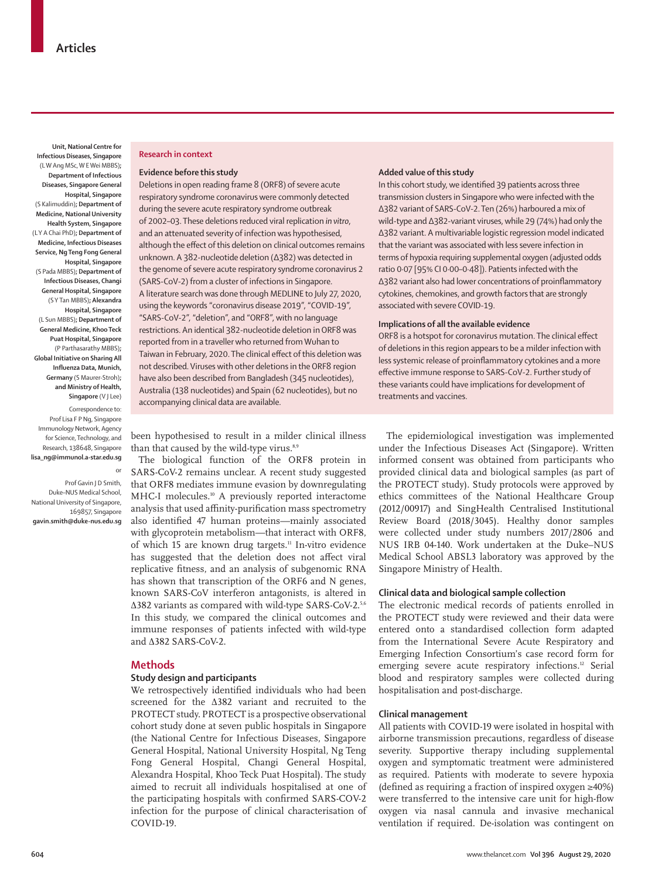**Unit, National Centre for Infectious Diseases, Singapore**  (L W Ang MSc, W E Wei MBBS)**; Department of Infectious Diseases, Singapore General Hospital, Singapore**  (S Kalimuddin)**; Department of Medicine, National University Health System, Singapore** (L Y A Chai PhD)**; Department of Medicine, Infectious Diseases Service, Ng Teng Fong General Hospital, Singapore**  (S Pada MBBS)**; Department of Infectious Diseases, Changi General Hospital, Singapore**  (S Y Tan MBBS)**; Alexandra Hospital, Singapore**  (L Sun MBBS)**; Department of General Medicine, Khoo Teck Puat Hospital, Singapore**  (P Parthasarathy MBBS)**; Global Initiative on Sharing All Influenza Data, Munich, Germany** (S Maurer-Stroh)**; and Ministry of Health, Singapore** (V J Lee)

Correspondence to: Prof Lisa F P Ng, Singapore Immunology Network, Agency for Science, Technology, and Research, 138648, Singapore **lisa\_ng@immunol.a-star.edu.sg**

or

Prof Gavin J D Smith, Duke–NUS Medical School, National University of Singapore, 169857, Singapore **gavin.smith@duke-nus.edu.sg**

# **Research in context**

# **Evidence before this study**

Deletions in open reading frame 8 (ORF8) of severe acute respiratory syndrome coronavirus were commonly detected during the severe acute respiratory syndrome outbreak of 2002–03. These deletions reduced viral replication *in vitro*, and an attenuated severity of infection was hypothesised, although the effect of this deletion on clinical outcomes remains unknown. A 382-nucleotide deletion (Δ382) was detected in the genome of severe acute respiratory syndrome coronavirus 2 (SARS-CoV-2) from a cluster of infections in Singapore. A literature search was done through MEDLINE to July 27, 2020, using the keywords "coronavirus disease 2019", "COVID-19", "SARS-CoV-2", "deletion", and "ORF8", with no language restrictions. An identical 382-nucleotide deletion in ORF8 was reported from in a traveller who returned from Wuhan to Taiwan in February, 2020. The clinical effect of this deletion was not described. Viruses with other deletions in the ORF8 region have also been described from Bangladesh (345 nucleotides), Australia (138 nucleotides) and Spain (62 nucleotides), but no accompanying clinical data are available.

## **Added value of this study**

In this cohort study, we identified 39 patients across three transmission clusters in Singapore who were infected with the Δ382 variant of SARS-CoV-2. Ten (26%) harboured a mix of wild-type and ∆382-variant viruses, while 29 (74%) had only the ∆382 variant. A multivariable logistic regression model indicated that the variant was associated with less severe infection in terms of hypoxia requiring supplemental oxygen (adjusted odds ratio 0·07 [95% CI 0·00–0·48]). Patients infected with the Δ382 variant also had lower concentrations of proinflammatory cytokines, chemokines, and growth factors that are strongly associated with severe COVID-19.

# **Implications of all the available evidence**

ORF8 is a hotspot for coronavirus mutation. The clinical effect of deletions in this region appears to be a milder infection with less systemic release of proinflammatory cytokines and a more effective immune response to SARS-CoV-2. Further study of these variants could have implications for development of treatments and vaccines.

been hypothesised to result in a milder clinical illness than that caused by the wild-type virus.<sup>8,9</sup>

The biological function of the ORF8 protein in SARS-CoV-2 remains unclear. A recent study suggested that ORF8 mediates immune evasion by downregulating MHC-I molecules.10 A previously reported interactome analysis that used affinity-purification mass spectrometry also identified 47 human proteins—mainly associated with glycoprotein metabolism—that interact with ORF8, of which 15 are known drug targets.<sup>11</sup> In-vitro evidence has suggested that the deletion does not affect viral replicative fitness, and an analysis of subgenomic RNA has shown that transcription of the ORF6 and N genes, known SARS-CoV interferon antagonists, is altered in Δ382 variants as compared with wild-type SARS-CoV-2.5,6 In this study, we compared the clinical outcomes and immune responses of patients infected with wild-type and Δ382 SARS-CoV-2.

# **Methods**

# **Study design and participants**

We retrospectively identified individuals who had been screened for the ∆382 variant and recruited to the PROTECT study. PROTECT is a prospective observational cohort study done at seven public hospitals in Singapore (the National Centre for Infectious Diseases, Singapore General Hospital, National University Hospital, Ng Teng Fong General Hospital, Changi General Hospital, Alexandra Hospital, Khoo Teck Puat Hospital). The study aimed to recruit all individuals hospitalised at one of the participating hospitals with confirmed SARS-COV-2 infection for the purpose of clinical characterisation of COVID-19.

The epidemiological investigation was implemented under the Infectious Diseases Act (Singapore). Written informed consent was obtained from participants who provided clinical data and biological samples (as part of the PROTECT study). Study protocols were approved by ethics committees of the National Healthcare Group (2012/00917) and SingHealth Centralised Institutional Review Board (2018/3045). Healthy donor samples were collected under study numbers 2017/2806 and NUS IRB 04-140. Work undertaken at the Duke–NUS Medical School ABSL3 laboratory was approved by the Singapore Ministry of Health.

# **Clinical data and biological sample collection**

The electronic medical records of patients enrolled in the PROTECT study were reviewed and their data were entered onto a standardised collection form adapted from the International Severe Acute Respiratory and Emerging Infection Consortium's case record form for emerging severe acute respiratory infections.<sup>12</sup> Serial blood and respiratory samples were collected during hospitalisation and post-discharge.

## **Clinical management**

All patients with COVID-19 were isolated in hospital with airborne transmission precautions, regardless of disease severity. Supportive therapy including supplemental oxygen and symptomatic treatment were administered as required. Patients with moderate to severe hypoxia (defined as requiring a fraction of inspired oxygen ≥40%) were transferred to the intensive care unit for high-flow oxygen via nasal cannula and invasive mechanical ventilation if required. De-isolation was contingent on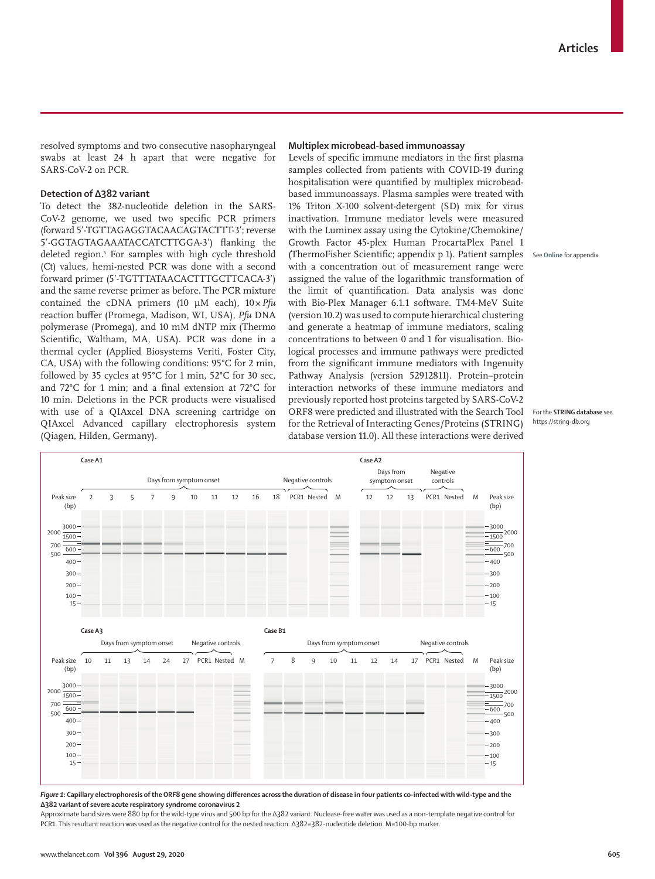resolved symptoms and two consecutive nasopharyngeal swabs at least 24 h apart that were negative for SARS-CoV-2 on PCR.

# **Detection of ∆382 variant**

To detect the 382-nucleotide deletion in the SARS-CoV-2 genome, we used two specific PCR primers (forward 5ʹ-TGTTAGAGGTACAACAGTACTTT-3ʹ; reverse 5ʹ-GGTAGTAGAAATACCATCTTGGA-3ʹ) flanking the deleted region.5 For samples with high cycle threshold (Ct) values, hemi-nested PCR was done with a second forward primer (5ʹ-TGTTTATAACACTTTGCTTCACA-3ʹ) and the same reverse primer as before. The PCR mixture contained the cDNA primers (10 µM each), 10×*Pfu* reaction buffer (Promega, Madison, WI, USA), *Pfu* DNA polymerase (Promega), and 10 mM dNTP mix (Thermo Scientific, Waltham, MA, USA). PCR was done in a thermal cycler (Applied Biosystems Veriti, Foster City, CA, USA) with the following conditions: 95°C for 2 min, followed by 35 cycles at 95°C for 1 min, 52°C for 30 sec, and 72°C for 1 min; and a final extension at 72°C for 10 min. Deletions in the PCR products were visualised with use of a QIAxcel DNA screening cartridge on QIAxcel Advanced capillary electrophoresis system (Qiagen, Hilden, Germany).

## **Multiplex microbead-based immunoassay**

Levels of specific immune mediators in the first plasma samples collected from patients with COVID-19 during hospitalisation were quantified by multiplex microbeadbased immunoassays. Plasma samples were treated with 1% Triton X-100 solvent-detergent (SD) mix for virus inactivation. Immune mediator levels were measured with the Luminex assay using the Cytokine/Chemokine/ Growth Factor 45-plex Human ProcartaPlex Panel 1 (ThermoFisher Scientific; appendix p 1). Patient samples with a concentration out of measurement range were assigned the value of the logarithmic transformation of the limit of quantification. Data analysis was done with Bio-Plex Manager 6.1.1 software. TM4-MeV Suite (version 10.2) was used to compute hierarchical clustering and generate a heatmap of immune mediators, scaling concentrations to between 0 and 1 for visualisation. Biological processes and immune pathways were predicted from the significant immune mediators with Ingenuity Pathway Analysis (version 52912811). Protein–protein interaction networks of these immune mediators and previously reported host proteins targeted by SARS-CoV-2 ORF8 were predicted and illustrated with the [Search Tool](https://string-db.org) [for the Retrieval of Interacting Genes/Proteins \(STRING\)](https://string-db.org) [database](https://string-db.org) version 11.0). All these interactions were derived

See **Online** for appendix

For the **STRING database** see <https://string-db.org>



*Figure 1:* **Capillary electrophoresis of the ORF8 gene showing differences across the duration of disease in four patients co-infected with wild-type and the Δ382 variant of severe acute respiratory syndrome coronavirus 2**

Approximate band sizes were 880 bp for the wild-type virus and 500 bp for the Δ382 variant. Nuclease-free water was used as a non-template negative control for PCR1. This resultant reaction was used as the negative control for the nested reaction. Δ382=382-nucleotide deletion. M=100-bp marker.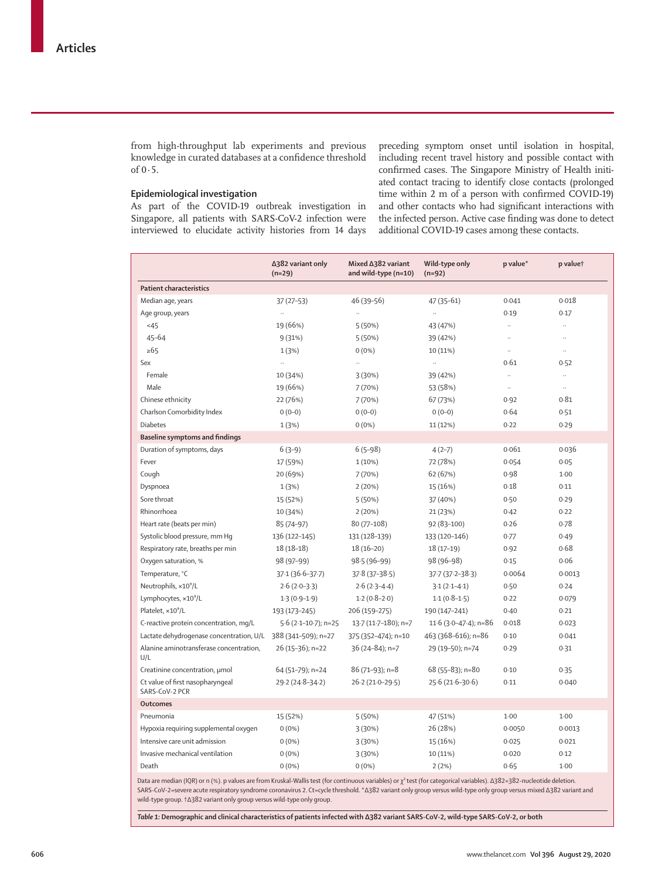from high-throughput lab experiments and previous knowledge in curated databases at a confidence threshold of  $0.5$ .

# **Epidemiological investigation**

As part of the COVID-19 outbreak investigation in Singapore, all patients with SARS-CoV-2 infection were interviewed to elucidate activity histories from 14 days preceding symptom onset until isolation in hospital, including recent travel history and possible contact with confirmed cases. The Singapore Ministry of Health initiated contact tracing to identify close contacts (prolonged time within 2 m of a person with confirmed COVID-19) and other contacts who had significant interactions with the infected person. Active case finding was done to detect additional COVID-19 cases among these contacts.

|                                                    | ∆382 variant only<br>$(n=29)$ | Mixed ∆382 variant<br>and wild-type (n=10) | Wild-type only<br>$(n=92)$ | p value*  | p valuet            |
|----------------------------------------------------|-------------------------------|--------------------------------------------|----------------------------|-----------|---------------------|
| <b>Patient characteristics</b>                     |                               |                                            |                            |           |                     |
| Median age, years                                  | $37(27-53)$                   | 46 (39-56)                                 | 47 (35-61)                 | 0.041     | 0.018               |
| Age group, years                                   | $\ldots$                      | $\ldots$                                   | $\ldots$                   | 0.19      | 0.17                |
| 45                                                 | 19 (66%)                      | 5(50%)                                     | 43 (47%)                   | $\ldots$  | н.                  |
| $45 - 64$                                          | 9(31%)                        | 5(50%)                                     | 39 (42%)                   | $\ddotsc$ | u,                  |
| $\geq 65$                                          | 1(3%)                         | $0(0\%)$                                   | 10 (11%)                   | $\ddotsc$ | и,                  |
| Sex                                                | u,                            | u,                                         | $\ddotsc$                  | 0.61      | 0.52                |
| Female                                             | 10 (34%)                      | 3(30%)                                     | 39 (42%)                   | $\ddotsc$ |                     |
| Male                                               | 19 (66%)                      | 7 (70%)                                    | 53 (58%)                   | $\ldots$  | $\bar{\mathcal{A}}$ |
| Chinese ethnicity                                  | 22 (76%)                      | 7(70%)                                     | 67 (73%)                   | 0.92      | 0.81                |
| Charlson Comorbidity Index                         | $0(0-0)$                      | $0(0-0)$                                   | $0(0-0)$                   | 0.64      | 0.51                |
| <b>Diabetes</b>                                    | 1(3%)                         | $0(0\%)$                                   | 11 (12%)                   | 0.22      | 0.29                |
| <b>Baseline symptoms and findings</b>              |                               |                                            |                            |           |                     |
| Duration of symptoms, days                         | $6(3-9)$                      | $6(5-98)$                                  | $4(2-7)$                   | 0.061     | 0.036               |
| Fever                                              | 17 (59%)                      | $1(10\%)$                                  | 72 (78%)                   | 0.054     | 0.05                |
| Cough                                              | 20 (69%)                      | 7(70%)                                     | 62 (67%)                   | 0.98      | $1-00$              |
| Dyspnoea                                           | 1(3%)                         | 2(20%)                                     | 15 (16%)                   | 0.18      | 0.11                |
| Sore throat                                        | 15 (52%)                      | 5(50%)                                     | 37 (40%)                   | 0.50      | 0.29                |
| Rhinorrhoea                                        | 10 (34%)                      | 2(20%)                                     | 21 (23%)                   | 0.42      | 0.22                |
| Heart rate (beats per min)                         | 85 (74-97)                    | 80 (77-108)                                | $92(83-100)$               | 0.26      | 0.78                |
| Systolic blood pressure, mm Hq                     | 136 (122-145)                 | 131 (128-139)                              | 133 (120-146)              | 0.77      | 0.49                |
| Respiratory rate, breaths per min                  | $18(18-18)$                   | $18(16-20)$                                | $18(17-19)$                | 0.92      | 0.68                |
| Oxygen saturation, %                               | 98 (97-99)                    | 98-5 (96-99)                               | 98 (96-98)                 | 0.15      | 0.06                |
| Temperature, °C                                    | $37.1(36.6 - 37.7)$           | $37.8(37 - 38.5)$                          | $37.7(37.2 - 38.3)$        | 0.0064    | 0.0013              |
| Neutrophils, x10 <sup>9</sup> /L                   | $2.6(2.0-3.3)$                | $2.6(2.3-4.4)$                             | $3.1(2.1 - 4.1)$           | 0.50      | 0.24                |
| Lymphocytes, ×10 <sup>9</sup> /L                   | $1.3(0.9-1.9)$                | $1.2(0.8-2.0)$                             | $1.1(0.8-1.5)$             | 0.22      | 0.079               |
| Platelet, ×10 <sup>9</sup> /L                      | 193 (173-245)                 | 206 (159-275)                              | 190 (147-241)              | 0.40      | 0.21                |
| C-reactive protein concentration, mg/L             | $5.6$ (2.1-10.7); n=25        | 13.7 (11.7-180); n=7                       | 11.6 (3.0-47.4); $n=86$    | 0.018     | 0.023               |
| Lactate dehydrogenase concentration, U/L           | 388 (341-509); n=27           | 375 (352-474); n=10                        | 463 (368-616); n=86        | 0.10      | 0.041               |
| Alanine aminotransferase concentration,<br>U/L     | 26 (15-36); n=22              | 36 (24-84); n=7                            | 29 (19-50); n=74           | 0.29      | 0.31                |
| Creatinine concentration, µmol                     | 64 (51-79); n=24              | 86 (71-93); n=8                            | 68 (55-83); n=80           | 0.10      | 0.35                |
| Ct value of first nasopharyngeal<br>SARS-CoV-2 PCR | 29-2 (24-8-34-2)              | $26.2(21.0-29.5)$                          | $25.6(21.6 - 30.6)$        | 0.11      | 0.040               |
| <b>Outcomes</b>                                    |                               |                                            |                            |           |                     |
| Pneumonia                                          | 15 (52%)                      | 5(50%)                                     | 47 (51%)                   | $1-00$    | 1.00                |
| Hypoxia requiring supplemental oxygen              | $0(0\%)$                      | 3(30%)                                     | 26 (28%)                   | 0.0050    | 0.0013              |
| Intensive care unit admission                      | $0(0\%)$                      | 3(30%)                                     | 15 (16%)                   | 0.025     | 0.021               |
| Invasive mechanical ventilation                    | $0(0\%)$                      | 3(30%)                                     | 10 (11%)                   | 0.020     | 0.12                |
| Death                                              | $0(0\%)$                      | $0(0\%)$                                   | 2(2%)                      | 0.65      | $1-00$              |
|                                                    |                               |                                            |                            |           |                     |

Data are median (IQR) or n (%). p values are from Kruskal-Wallis test (for continuous variables) or χ² test (for categorical variables). Δ382=382-nucleotide deletion. SARS-CoV-2=severe acute respiratory syndrome coronavirus 2. Ct=cycle threshold. \*Δ382 variant only group versus wild-type only group versus mixed Δ382 variant and wild-type group. †Δ382 variant only group versus wild-type only group.

*Table 1:* **Demographic and clinical characteristics of patients infected with Δ382 variant SARS-CoV-2, wild-type SARS-CoV-2, or both**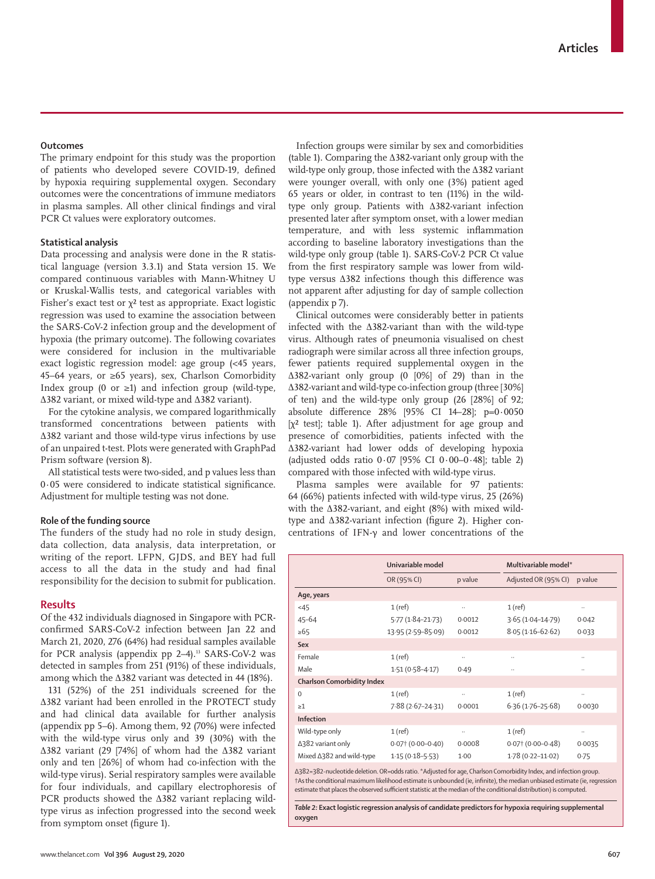# **Outcomes**

The primary endpoint for this study was the proportion of patients who developed severe COVID-19, defined by hypoxia requiring supplemental oxygen. Secondary outcomes were the concentrations of immune mediators in plasma samples. All other clinical findings and viral PCR Ct values were exploratory outcomes.

## **Statistical analysis**

Data processing and analysis were done in the R statistical language (version 3.3.1) and Stata version 15. We compared continuous variables with Mann-Whitney U or Kruskal-Wallis tests, and categorical variables with Fisher's exact test or  $\chi^2$  test as appropriate. Exact logistic regression was used to examine the association between the SARS-CoV-2 infection group and the development of hypoxia (the primary outcome). The following covariates were considered for inclusion in the multivariable exact logistic regression model: age group (<45 years, 45–64 years, or ≥65 years), sex, Charlson Comorbidity Index group (0 or  $\geq$ 1) and infection group (wild-type, Δ382 variant, or mixed wild-type and Δ382 variant).

For the cytokine analysis, we compared logarithmically transformed concentrations between patients with ∆382 variant and those wild-type virus infections by use of an unpaired t-test. Plots were generated with GraphPad Prism software (version 8).

All statistical tests were two-sided, and p values less than 0·05 were considered to indicate statistical significance. Adjustment for multiple testing was not done.

## **Role of the funding source**

The funders of the study had no role in study design, data collection, data analysis, data interpretation, or writing of the report. LFPN, GJDS, and BEY had full access to all the data in the study and had final responsibility for the decision to submit for publication.

## **Results**

Of the 432 individuals diagnosed in Singapore with PCRconfirmed SARS-CoV-2 infection between Jan 22 and March 21, 2020, 276 (64%) had residual samples available for PCR analysis (appendix pp  $2-4$ ).<sup>13</sup> SARS-CoV-2 was detected in samples from 251 (91%) of these individuals, among which the ∆382 variant was detected in 44 (18%).

131 (52%) of the 251 individuals screened for the ∆382 variant had been enrolled in the PROTECT study and had clinical data available for further analysis (appendix pp 5–6). Among them, 92 (70%) were infected with the wild-type virus only and 39 (30%) with the ∆382 variant (29 [74%] of whom had the ∆382 variant only and ten [26%] of whom had co-infection with the wild-type virus). Serial respiratory samples were available for four individuals, and capillary electrophoresis of PCR products showed the ∆382 variant replacing wildtype virus as infection progressed into the second week from symptom onset (figure 1).

Infection groups were similar by sex and comorbidities (table 1). Comparing the ∆382-variant only group with the wild-type only group, those infected with the ∆382 variant were younger overall, with only one (3%) patient aged 65 years or older, in contrast to ten (11%) in the wildtype only group. Patients with ∆382-variant infection presented later after symptom onset, with a lower median temperature, and with less systemic inflammation according to baseline laboratory investigations than the wild-type only group (table 1). SARS-CoV-2 PCR Ct value from the first respiratory sample was lower from wildtype versus ∆382 infections though this difference was not apparent after adjusting for day of sample collection (appendix p 7).

Clinical outcomes were considerably better in patients infected with the ∆382-variant than with the wild-type virus. Although rates of pneumonia visualised on chest radiograph were similar across all three infection groups, fewer patients required supplemental oxygen in the ∆382-variant only group (0 [0%] of 29) than in the ∆382-variant and wild-type co-infection group (three [30%] of ten) and the wild-type only group (26 [28%] of 92; absolute difference 28% [95% CI 14–28]; p=0·0050  $[χ² test]$ ; table 1). After adjustment for age group and presence of comorbidities, patients infected with the ∆382-variant had lower odds of developing hypoxia (adjusted odds ratio  $0.07$  [95% CI  $0.00-0.48$ ]; table 2) compared with those infected with wild-type virus.

Plasma samples were available for 97 patients: 64 (66%) patients infected with wild-type virus, 25 (26%) with the ∆382-variant, and eight (8%) with mixed wildtype and ∆382-variant infection (figure 2). Higher concentrations of IFN-γ and lower concentrations of the

| Univariable model                 |         | Multivariable model*   |         |  |  |  |  |
|-----------------------------------|---------|------------------------|---------|--|--|--|--|
| OR (95% CI)                       | p value | Adjusted OR (95% CI)   | p value |  |  |  |  |
|                                   |         |                        |         |  |  |  |  |
| $1$ (ref)                         |         | $1$ (ref)              |         |  |  |  |  |
| $5.77(1.84 - 21.73)$              | 0.0012  | $3.65(1.04 - 14.79)$   | 0.042   |  |  |  |  |
| 13.95 (2.59-85.09)                | 0.0012  | $8.05(1.16-62.62)$     | 0.033   |  |  |  |  |
|                                   |         |                        |         |  |  |  |  |
| $1$ (ref)                         |         |                        |         |  |  |  |  |
| $1.51(0.58 - 4.17)$               | 0.49    |                        |         |  |  |  |  |
| <b>Charlson Comorbidity Index</b> |         |                        |         |  |  |  |  |
| $1$ (ref)                         |         | $1$ (ref)              |         |  |  |  |  |
| $7.88(2.67-24.31)$                | 0.0001  | $6.36(1.76-25.68)$     | 0.0030  |  |  |  |  |
|                                   |         |                        |         |  |  |  |  |
| $1$ (ref)                         |         | $1$ (ref)              |         |  |  |  |  |
| $0.07$ $(0.00 - 0.40)$            | 0.0008  | $0.07$ $(0.00 - 0.48)$ | 0.0035  |  |  |  |  |
| $1.15(0.18 - 5.53)$               | $1-00$  | $1.78(0.22 - 11.02)$   | 0.75    |  |  |  |  |
|                                   |         |                        |         |  |  |  |  |

Δ382=382-nucleotide deletion. OR=odds ratio. \*Adjusted for age, Charlson Comorbidity Index, and infection group. †As the conditional maximum likelihood estimate is unbounded (ie, infinite), the median unbiased estimate (ie, regression estimate that places the observed sufficient statistic at the median of the conditional distribution) is computed.

*Table 2:* **Exact logistic regression analysis of candidate predictors for hypoxia requiring supplemental oxygen**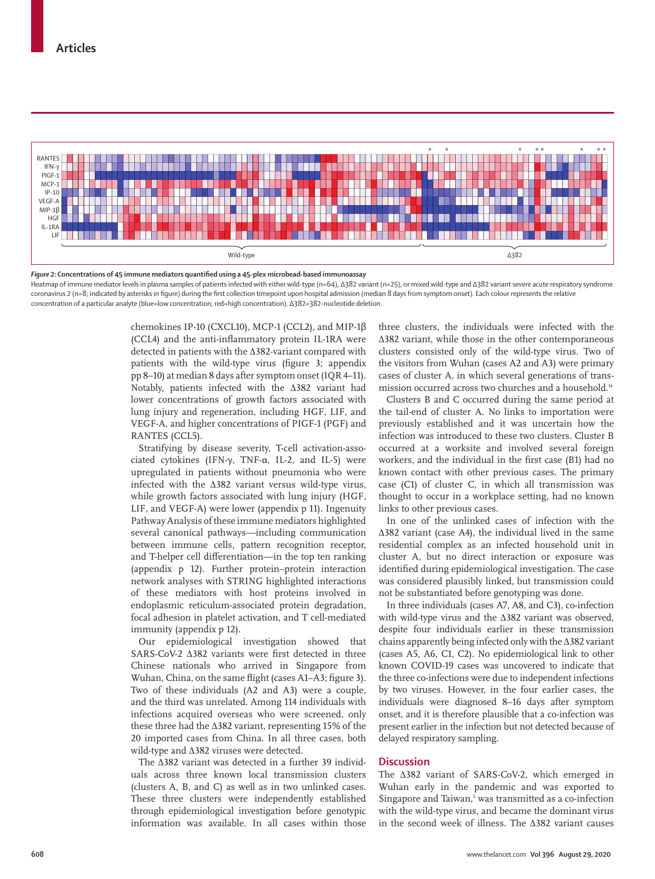

*Figure 2:* **Concentrations of 45 immune mediators quantified using a 45-plex microbead-based immunoassay** Heatmap of immune mediator levels in plasma samples of patients infected with either wild-type (n=64), Δ382 variant (n=25), or mixed wild-type and Δ382 variant severe acute respiratory syndrome coronavirus 2 (n=8; indicated by asterisks in figure) during the first collection timepoint upon hospital admission (median 8 days from symptom onset). Each colour represents the relative concentration of a particular analyte (blue=low concentration; red=high concentration). Δ382=382-nucleotide deletion.

chemokines IP-10 (CXCL10), MCP-1 (CCL2), and MIP-1β (CCL4) and the anti-inflammatory protein IL-1RA were detected in patients with the ∆382-variant compared with patients with the wild-type virus (figure 3; appendix pp 8–10) at median 8 days after symptom onset (IQR 4–11). Notably, patients infected with the ∆382 variant had lower concentrations of growth factors associated with lung injury and regeneration, including HGF, LIF, and VEGF-A, and higher concentrations of PIGF-1 (PGF) and RANTES (CCL5).

Stratifying by disease severity, T-cell activation-associated cytokines (IFN-γ, TNF-α, IL-2, and IL-5) were upregulated in patients without pneumonia who were infected with the ∆382 variant versus wild-type virus, while growth factors associated with lung injury (HGF, LIF, and VEGF-A) were lower (appendix p 11). Ingenuity Pathway Analysis of these immune mediators highlighted several canonical pathways—including communication between immune cells, pattern recognition receptor, and T-helper cell differentiation—in the top ten ranking (appendix p 12). Further protein–protein interaction network analyses with STRING highlighted interactions of these mediators with host proteins involved in endoplasmic reticulum-associated protein degradation, focal adhesion in platelet activation, and T cell-mediated immunity (appendix p 12).

Our epidemiological investigation showed that SARS-CoV-2 ∆382 variants were first detected in three Chinese nationals who arrived in Singapore from Wuhan, China, on the same flight (cases A1–A3; figure 3). Two of these individuals (A2 and A3) were a couple, and the third was unrelated. Among 114 individuals with infections acquired overseas who were screened, only these three had the ∆382 variant, representing 15% of the 20 imported cases from China. In all three cases, both wild-type and ∆382 viruses were detected.

The ∆382 variant was detected in a further 39 individuals across three known local transmission clusters (clusters A, B, and C) as well as in two unlinked cases. These three clusters were independently established through epidemiological investigation before genotypic information was available. In all cases within those three clusters, the individuals were infected with the ∆382 variant, while those in the other contemporaneous clusters consisted only of the wild-type virus. Two of the visitors from Wuhan (cases A2 and A3) were primary cases of cluster A, in which several generations of transmission occurred across two churches and a household.<sup>14</sup>

Clusters B and C occurred during the same period at the tail-end of cluster A. No links to importation were previously established and it was uncertain how the infection was introduced to these two clusters. Cluster B occurred at a worksite and involved several foreign workers, and the individual in the first case (B1) had no known contact with other previous cases. The primary case (C1) of cluster C, in which all transmission was thought to occur in a workplace setting, had no known links to other previous cases.

In one of the unlinked cases of infection with the ∆382 variant (case A4), the individual lived in the same residential complex as an infected household unit in cluster A, but no direct interaction or exposure was identified during epidemiological investigation. The case was considered plausibly linked, but transmission could not be substantiated before genotyping was done.

In three individuals (cases A7, A8, and C3), co-infection with wild-type virus and the ∆382 variant was observed, despite four individuals earlier in these transmission chains apparently being infected only with the ∆382 variant (cases A5, A6, C1, C2). No epidemiological link to other known COVID-19 cases was uncovered to indicate that the three co-infections were due to independent infections by two viruses. However, in the four earlier cases, the individuals were diagnosed 8–16 days after symptom onset, and it is therefore plausible that a co-infection was present earlier in the infection but not detected because of delayed respiratory sampling.

# **Discussion**

The Δ382 variant of SARS-CoV-2, which emerged in Wuhan early in the pandemic and was exported to Singapore and Taiwan,<sup>5</sup> was transmitted as a co-infection with the wild-type virus, and became the dominant virus in the second week of illness. The ∆382 variant causes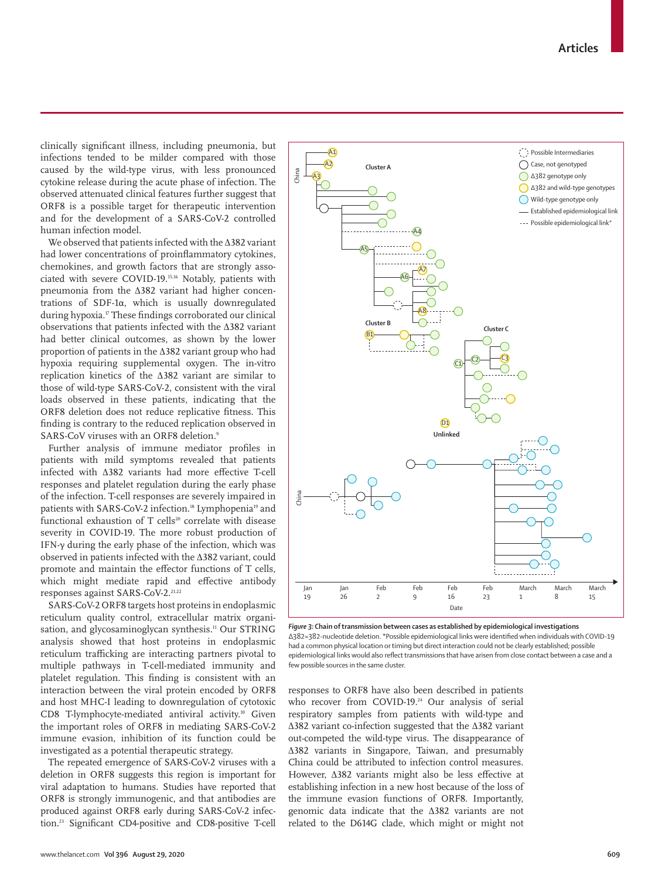clinically significant illness, including pneumonia, but infections tended to be milder compared with those caused by the wild-type virus, with less pronounced cytokine release during the acute phase of infection. The observed attenuated clinical features further suggest that ORF8 is a possible target for therapeutic intervention and for the development of a SARS-CoV-2 controlled human infection model.

We observed that patients infected with the ∆382 variant had lower concentrations of proinflammatory cytokines, chemokines, and growth factors that are strongly associated with severe COVID-19.15,16 Notably, patients with pneumonia from the ∆382 variant had higher concentrations of SDF-1α, which is usually downregulated during hypoxia.<sup>17</sup> These findings corroborated our clinical observations that patients infected with the ∆382 variant had better clinical outcomes, as shown by the lower proportion of patients in the ∆382 variant group who had hypoxia requiring supplemental oxygen. The in-vitro replication kinetics of the ∆382 variant are similar to those of wild-type SARS-CoV-2, consistent with the viral loads observed in these patients, indicating that the ORF8 deletion does not reduce replicative fitness. This finding is contrary to the reduced replication observed in SARS-CoV viruses with an ORF8 deletion.9

Further analysis of immune mediator profiles in patients with mild symptoms revealed that patients infected with ∆382 variants had more effective T-cell responses and platelet regulation during the early phase of the infection. T-cell responses are severely impaired in patients with SARS-CoV-2 infection.<sup>18</sup> Lymphopenia<sup>19</sup> and functional exhaustion of T cells<sup>20</sup> correlate with disease severity in COVID-19. The more robust production of IFN-γ during the early phase of the infection, which was observed in patients infected with the ∆382 variant, could promote and maintain the effector functions of T cells, which might mediate rapid and effective antibody responses against SARS-CoV-2.<sup>21,22</sup>

SARS-CoV-2 ORF8 targets host proteins in endoplasmic reticulum quality control, extracellular matrix organisation, and glycosaminoglycan synthesis.<sup>11</sup> Our STRING analysis showed that host proteins in endoplasmic reticulum trafficking are interacting partners pivotal to multiple pathways in T-cell-mediated immunity and platelet regulation. This finding is consistent with an interaction between the viral protein encoded by ORF8 and host MHC-I leading to downregulation of cytotoxic CD8 T-lymphocyte-mediated antiviral activity.<sup>10</sup> Given the important roles of ORF8 in mediating SARS-CoV-2 immune evasion, inhibition of its function could be investigated as a potential therapeutic strategy.

The repeated emergence of SARS-CoV-2 viruses with a deletion in ORF8 suggests this region is important for viral adaptation to humans. Studies have reported that ORF8 is strongly immunogenic, and that antibodies are produced against ORF8 early during SARS-CoV-2 infection.23 Significant CD4-positive and CD8-positive T-cell



*Figure 3:* **Chain of transmission between cases as established by epidemiological investigations** Δ382=382-nucleotide deletion. **\***Possible epidemiological links were identified when individuals with COVID-19 had a common physical location or timing but direct interaction could not be clearly established; possible epidemiological links would also reflect transmissions that have arisen from close contact between a case and a few possible sources in the same cluster.

responses to ORF8 have also been described in patients who recover from COVID-19.<sup>24</sup> Our analysis of serial respiratory samples from patients with wild-type and ∆382 variant co-infection suggested that the ∆382 variant out-competed the wild-type virus. The disappearance of ∆382 variants in Singapore, Taiwan, and presumably China could be attributed to infection control measures. However, ∆382 variants might also be less effective at establishing infection in a new host because of the loss of the immune evasion functions of ORF8. Importantly, genomic data indicate that the ∆382 variants are not related to the D614G clade, which might or might not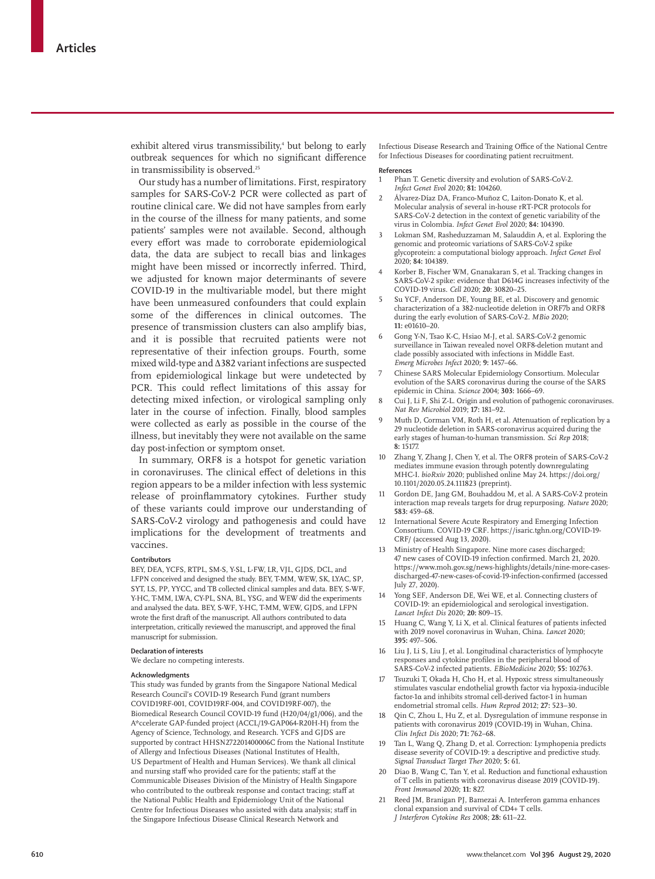exhibit altered virus transmissibility,<sup>4</sup> but belong to early outbreak sequences for which no significant difference in transmissibility is observed.<sup>25</sup>

Our study has a number of limitations. First, respiratory samples for SARS-CoV-2 PCR were collected as part of routine clinical care. We did not have samples from early in the course of the illness for many patients, and some patients' samples were not available. Second, although every effort was made to corroborate epidemiological data, the data are subject to recall bias and linkages might have been missed or incorrectly inferred. Third, we adjusted for known major determinants of severe COVID-19 in the multivariable model, but there might have been unmeasured confounders that could explain some of the differences in clinical outcomes. The presence of transmission clusters can also amplify bias, and it is possible that recruited patients were not representative of their infection groups. Fourth, some mixed wild-type and ∆382 variant infections are suspected from epidemiological linkage but were undetected by PCR. This could reflect limitations of this assay for detecting mixed infection, or virological sampling only later in the course of infection. Finally, blood samples were collected as early as possible in the course of the illness, but inevitably they were not available on the same day post-infection or symptom onset.

In summary, ORF8 is a hotspot for genetic variation in coronaviruses. The clinical effect of deletions in this region appears to be a milder infection with less systemic release of proinflammatory cytokines. Further study of these variants could improve our understanding of SARS-CoV-2 virology and pathogenesis and could have implications for the development of treatments and vaccines.

### **Contributors**

BEY, DEA, YCFS, RTPL, SM-S, Y-SL, L-FW, LR, VJL, GJDS, DCL, and LFPN conceived and designed the study. BEY, T-MM, WEW, SK, LYAC, SP, SYT, LS, PP, YYCC, and TB collected clinical samples and data. BEY, S-WF, Y-HC, T-MM, LWA, CY-PL, SNA, BL, YSG, and WEW did the experiments and analysed the data. BEY, S-WF, Y-HC, T-MM, WEW, GJDS, and LFPN wrote the first draft of the manuscript. All authors contributed to data interpretation, critically reviewed the manuscript, and approved the final manuscript for submission.

## **Declaration of interests**

We declare no competing interests.

### **Acknowledgments**

This study was funded by grants from the Singapore National Medical Research Council's COVID-19 Research Fund (grant numbers COVID19RF-001, COVID19RF-004, and COVID19RF-007), the Biomedical Research Council COVID-19 fund (H20/04/g1/006), and the A\*ccelerate GAP-funded project (ACCL/19-GAP064-R20H-H) from the Agency of Science, Technology, and Research. YCFS and GJDS are supported by contract HHSN272201400006C from the National Institute of Allergy and Infectious Diseases (National Institutes of Health, US Department of Health and Human Services). We thank all clinical and nursing staff who provided care for the patients; staff at the Communicable Diseases Division of the Ministry of Health Singapore who contributed to the outbreak response and contact tracing; staff at the National Public Health and Epidemiology Unit of the National Centre for Infectious Diseases who assisted with data analysis; staff in the Singapore Infectious Disease Clinical Research Network and

Infectious Disease Research and Training Office of the National Centre for Infectious Diseases for coordinating patient recruitment.

#### **References**

- 1 Phan T. Genetic diversity and evolution of SARS-CoV-2. *Infect Genet Evol* 2020; **81:** 104260.
- 2 Álvarez-Díaz DA, Franco-Muñoz C, Laiton-Donato K, et al. Molecular analysis of several in-house rRT-PCR protocols for SARS-CoV-2 detection in the context of genetic variability of the virus in Colombia. *Infect Genet Evol* 2020; **84:** 104390.
- Lokman SM, Rasheduzzaman M, Salauddin A, et al. Exploring the genomic and proteomic variations of SARS-CoV-2 spike glycoprotein: a computational biology approach. *Infect Genet Evol* 2020; **84:** 104389.
- 4 Korber B, Fischer WM, Gnanakaran S, et al. Tracking changes in SARS-CoV-2 spike: evidence that D614G increases infectivity of the COVID-19 virus. *Cell* 2020; **20:** 30820–25.
- 5 Su YCF, Anderson DE, Young BE, et al. Discovery and genomic characterization of a 382-nucleotide deletion in ORF7b and ORF8 during the early evolution of SARS-CoV-2. *MBio* 2020; **11:** e01610–20.
- 6 Gong Y-N, Tsao K-C, Hsiao M-J, et al. SARS-CoV-2 genomic surveillance in Taiwan revealed novel ORF8-deletion mutant and clade possibly associated with infections in Middle East. *Emerg Microbes Infect* 2020; **9:** 1457–66.
- 7 Chinese SARS Molecular Epidemiology Consortium. Molecular evolution of the SARS coronavirus during the course of the SARS epidemic in China. *Science* 2004; **303:** 1666–69.
- 8 Cui J, Li F, Shi Z-L. Origin and evolution of pathogenic coronaviruses. *Nat Rev Microbiol* 2019; **17:** 181–92.
- Muth D, Corman VM, Roth H, et al. Attenuation of replication by a 29 nucleotide deletion in SARS-coronavirus acquired during the early stages of human-to-human transmission. *Sci Rep* 2018; **8:** 15177.
- 10 Zhang Y, Zhang J, Chen Y, et al. The ORF8 protein of SARS-CoV-2 mediates immune evasion through potently downregulating MHC-I. *bioRxiv* 2020; published online May 24. https://doi.org/ 10.1101/2020.05.24.111823 (preprint).
- 11 Gordon DE, Jang GM, Bouhaddou M, et al. A SARS-CoV-2 protein interaction map reveals targets for drug repurposing. *Nature* 2020; **583:** 459–68.
- 12 International Severe Acute Respiratory and Emerging Infection Consortium. COVID-19 CRF. https://isaric.tghn.org/COVID-19- CRF/ (accessed Aug 13, 2020).
- 13 Ministry of Health Singapore. Nine more cases discharged; 47 new cases of COVID-19 infection confirmed. March 21, 2020. https://www.moh.gov.sg/news-highlights/details/nine-more-casesdischarged-47-new-cases-of-covid-19-infection-confirmed (accessed July 27, 2020).
- 14 Yong SEF, Anderson DE, Wei WE, et al. Connecting clusters of COVID-19: an epidemiological and serological investigation. *Lancet Infect Dis* 2020; **20:** 809–15.
- 15 Huang C, Wang Y, Li X, et al. Clinical features of patients infected with 2019 novel coronavirus in Wuhan, China. *Lancet* 2020; **395:** 497–506.
- 16 Liu J, Li S, Liu J, et al. Longitudinal characteristics of lymphocyte responses and cytokine profiles in the peripheral blood of SARS-CoV-2 infected patients. *EBioMedicine* 2020; **55:** 102763.
- 17 Tsuzuki T, Okada H, Cho H, et al. Hypoxic stress simultaneously stimulates vascular endothelial growth factor via hypoxia-inducible factor-1α and inhibits stromal cell-derived factor-1 in human endometrial stromal cells. *Hum Reprod* 2012; **27:** 523–30.
- 18 Qin C, Zhou L, Hu Z, et al. Dysregulation of immune response in patients with coronavirus 2019 (COVID-19) in Wuhan, China. *Clin Infect Dis* 2020; **71:** 762–68.
- 19 Tan L, Wang Q, Zhang D, et al. Correction: Lymphopenia predicts disease severity of COVID-19: a descriptive and predictive study. *Signal Transduct Target Ther* 2020; **5:** 61.
- 20 Diao B, Wang C, Tan Y, et al. Reduction and functional exhaustion of T cells in patients with coronavirus disease 2019 (COVID-19). *Front Immunol* 2020; **11:** 827.
- Reed JM, Branigan PJ, Bamezai A. Interferon gamma enhances clonal expansion and survival of CD4+ T cells. *J Interferon Cytokine Res* 2008; **28:** 611–22.